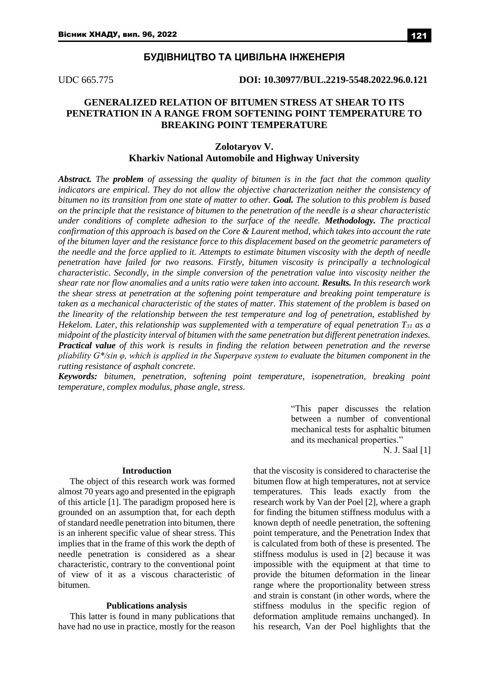### **БУДІВНИЦТВО ТА ЦИВІЛЬНА ІНЖЕНЕРІЯ**

UDС 665.775 **DOI: 10.30977/BUL.2219-5548.2022.96.0.121**

# **GENERALIZED RELATION OF BITUMEN STRESS AT SHEAR TO ITS PENETRATION IN A RANGE FROM SOFTENING POINT TEMPERATURE TO BREAKING POINT TEMPERATURE**

## **Zolotaryov V. Kharkiv National Automobile and Highway University**

*Abstract. The problem of assessing the quality of bitumen is in the fact that the common quality indicators are empirical. They do not allow the objective characterization neither the consistency of bitumen no its transition from one state of matter to other. Goal. The solution to this problem is based on the principle that the resistance of bitumen to the penetration of the needle is a shear characteristic under conditions of complete adhesion to the surface of the needle. Methodology. The practical confirmation of this approach is based on the Core & Laurent method, which takes into account the rate of the bitumen layer and the resistance force to this displacement based on the geometric parameters of the needle and the force applied to it. Attempts to estimate bitumen viscosity with the depth of needle penetration have failed for two reasons. Firstly, bitumen viscosity is principally a technological characteristic. Secondly, in the simple conversion of the penetration value into viscosity neither the shear rate nor flow anomalies and a units ratio were taken into account. Results. In this research work the shear stress at penetration at the softening point temperature and breaking point temperature is taken as a mechanical characteristic of the states of matter. This statement of the problem is based on the linearity of the relationship between the test temperature and log of penetration, established by Hekelom. Later, this relationship was supplemented with a temperature of equal penetration T<sup>31</sup> as a midpoint of the plasticity interval of bitumen with the same penetration but different penetration indexes. Practical value of this work is results in finding the relation between penetration and the reverse pliability G\*/sin φ, which is applied in the Superpave system to evaluate the bitumen component in the rutting resistance of asphalt concrete.*

*Keywords: bitumen, penetration, softening point temperature, isopenetration, breaking point temperature, complex modulus, phase angle, stress.*

> "This paper discusses the relation between a number of conventional mechanical tests for asphaltic bitumen and its mechanical properties."

> > N. J. Saal [1]

#### **Introduction**

The object of this research work was formed almost 70 years ago and presented in the epigraph of this article [1]. The paradigm proposed here is grounded on an assumption that, for each depth of standard needle penetration into bitumen, there is an inherent specific value of shear stress. This implies that in the frame of this work the depth of needle penetration is considered as a shear characteristic, contrary to the conventional point of view of it as a viscous characteristic of bitumen.

#### **Publications analysis**

This latter is found in many publications that have had no use in practice, mostly for the reason that the viscosity is considered to characterise the bitumen flow at high temperatures, not at service temperatures. This leads exactly from the research work by Van der Poel [2], where a graph for finding the bitumen stiffness modulus with a known depth of needle penetration, the softening point temperature, and the Penetration Index that is calculated from both of these is presented. The stiffness modulus is used in [2] because it was impossible with the equipment at that time to provide the bitumen deformation in the linear range where the proportionality between stress and strain is constant (in other words, where the stiffness modulus in the specific region of deformation amplitude remains unchanged). In his research, Van der Poеl highlights that the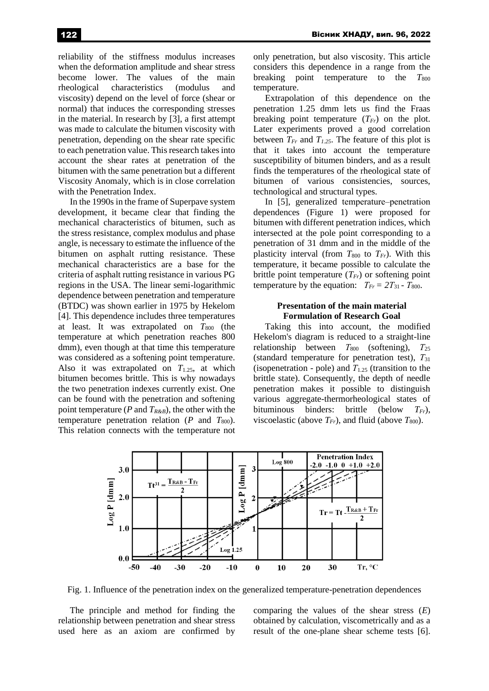reliability of the stiffness modulus increases when the deformation amplitude and shear stress become lower. The values of the main rheological characteristics (modulus and viscosity) depend on the level of force (shear or normal) that induces the corresponding stresses in the material. In research by [3], a first attempt was made to calculate the bitumen viscosity with penetration, depending on the shear rate specific to each penetration value. This research takes into account the shear rates at penetration of the bitumen with the same penetration but a different Viscosity Anomaly, which is in close correlation

with the Penetration Index. In the 1990s in the frame of Superpave system development, it became clear that finding the mechanical characteristics of bitumen, such as the stress resistance, complex modulus and phase angle, is necessary to estimate the influence of the bitumen on asphalt rutting resistance. These mechanical characteristics are a base for the criteria of asphalt rutting resistance in various PG regions in the USA. The linear semi-logarithmic dependence between penetration and temperature (BTDC) was shown earlier in 1975 by Hekelom [4]. This dependence includes three temperatures at least. It was extrapolated on  $T_{800}$  (the temperature at which penetration reaches 800 dmm), even though at that time this temperature was considered as a softening point temperature. Also it was extrapolated on  $T_{1.25}$ , at which bitumen becomes brittle. This is why nowadays the two penetration indexes currently exist. One can be found with the penetration and softening point temperature (*P* and *TR&B*), the other with the temperature penetration relation  $(P \text{ and } T_{800})$ . This relation connects with the temperature not only penetration, but also viscosity. This article considers this dependence in a range from the breaking point temperature to the  $T_{800}$ breaking point temperature to the temperature.

Extrapolation of this dependence on the penetration 1.25 dmm lets us find the Fraas breaking point temperature  $(T_F)$  on the plot. Later experiments proved a good correlation between  $T_{Fr}$  and  $T_{1,25}$ . The feature of this plot is that it takes into account the temperature susceptibility of bitumen binders, and as a result finds the temperatures of the rheological state of bitumen of various consistencies, sources, technological and structural types.

In [5], generalized temperature-penetration dependences (Figure 1) were proposed for bitumen with different penetration indices, which intersected at the pole point corresponding to a penetration of 31 dmm and in the middle of the plasticity interval (from  $T_{800}$  to  $T_{Fr}$ ). With this temperature, it became possible to calculate the brittle point temperature  $(T_F)$  or softening point temperature by the equation:  $T_{Fr} = 2T_{31} - T_{800}$ .

### **Рresentation of the main material Formulation of Research Goal**

Taking this into account, the modified Hekelom's diagram is reduced to a straight-line relationship between  $T_{800}$  (softening),  $T_{25}$ (standard temperature for penetration test), *Т*<sup>31</sup> (isopenetration - pole) and *Т*1.25 (transition to the brittle state). Consequently, the depth of needle penetration makes it possible to distinguish various aggregate-thermorheological states of bituminous binders: brittle (below *TFr*), viscoelastic (above  $T_{Fr}$ ), and fluid (above  $T_{800}$ ).



Fig. 1. Influence of the penetration index on the generalized temperature-penetration dependences

The principle and method for finding the relationship between penetration and shear stress used here as an axiom are confirmed by comparing the values of the shear stress (*E*) obtained by calculation, viscometrically and as a result of the one-plane shear scheme tests [6].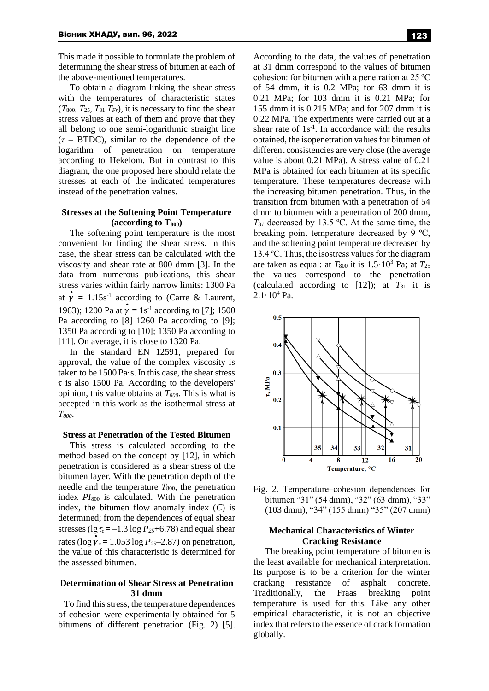This made it possible to formulate the problem of determining the shear stress of bitumen at each of the above-mentioned temperatures.

To obtain a diagram linking the shear stress with the temperatures of characteristic states (*Т*800*, Т*25, *Т*<sup>31</sup> *ТFr*), it is necessary to find the shear stress values at each of them and prove that they all belong to one semi-logarithmic straight line  $(\tau - B TDC)$ , similar to the dependence of the logarithm of penetration on temperature according to Hekelom. But in contrast to this diagram, the one proposed here should relate the stresses at each of the indicated temperatures instead of the penetration values.

### **Stresses at the Softening Point Temperature (according to T800)**

The softening point temperature is the most convenient for finding the shear stress. In this case, the shear stress can be calculated with the viscosity and shear rate at 800 dmm [3]. In the data from numerous publications, this shear stress varies within fairly narrow limits: 1300 Pa at  $\dot{\gamma} = 1.15s^{-1}$  according to (Carre & Laurent, 1963); 1200 Pa at  $\vec{\gamma} = 1s^{-1}$  according to [7]; 1500 Pa according to [8] 1260 Pa according to [9]; 1350 Pa according to [10]; 1350 Pa according to [11]. On average, it is close to 1320 Pa.

In the standard EN 12591, prepared for approval, the value of the complex viscosity is taken to be 1500 Pa·s. In this case, the shear stress τ is also 1500 Pa. According to the developers' opinion, this value obtains at *T800*. This is what is accepted in this work as the isothermal stress at *Т800*.

#### **Stress at Penetration of the Tested Bitumen**

This stress is calculated according to the method based on the concept by [12], in which penetration is considered as a shear stress of the bitumen layer. With the penetration depth of the needle and the temperature  $T_{800}$ , the penetration index *PI*<sup>800</sup> is calculated. With the penetration index, the bitumen flow anomaly index (*C*) is determined; from the dependences of equal shear stresses ( $\lg \tau_e = -1.3 \log P_{25} + 6.78$ ) and equal shear rates ( $\log \gamma_e = 1.053 \log P_{25} - 2.87$ ) on penetration, the value of this characteristic is determined for the assessed bitumen.

### **Determination of Shear Stress at Penetration 31 dmm**

To find this stress, the temperature dependences of cohesion were experimentally obtained for 5 bitumens of different penetration (Fig. 2) [5]. According to the data, the values of penetration at 31 dmm correspond to the values of bitumen cohesion: for bitumen with a penetration at 25 ºС of 54 dmm, it is 0.2 MPa; for 63 dmm it is 0.21 MPa; for 103 dmm it is 0.21 MPa; for 155 dmm it is 0.215 MPa; and for 207 dmm it is 0.22 MPa. The experiments were carried out at a shear rate of  $1s^{-1}$ . In accordance with the results obtained, the isopenetration values for bitumen of different consistencies are very close (the average value is about 0.21 MPa). A stress value of 0.21 MPa is obtained for each bitumen at its specific temperature. These temperatures decrease with the increasing bitumen penetration. Thus, in the transition from bitumen with a penetration of 54 dmm to bitumen with a penetration of 200 dmm, *T<sup>31</sup>* decreased by 13.5 ºС. At the same time, the breaking point temperature decreased by 9 ºС, and the softening point temperature decreased by 13.4 ºС. Thus, the isostress values for the diagram are taken as equal: at  $T_{800}$  it is  $1.5 \cdot 10^3$  Pa; at  $T_{25}$ the values correspond to the penetration (calculated according to  $[12]$ ); at  $T_{31}$  it is  $2.1 \cdot 10^4$  Pa.



Fig. 2. Temperature–cohesion dependences for bitumen "31" (54 dmm), "32" (63 dmm), "33" (103 dmm), "34" (155 dmm) "35" (207 dmm)

#### **Mechanical Characteristics of Winter Cracking Resistance**

The breaking point temperature of bitumen is the least available for mechanical interpretation. Its purpose is to be a criterion for the winter cracking resistance of asphalt concrete. Traditionally, the Fraas breaking point temperature is used for this. Like any other empirical characteristic, it is not an objective index that refers to the essence of crack formation globally.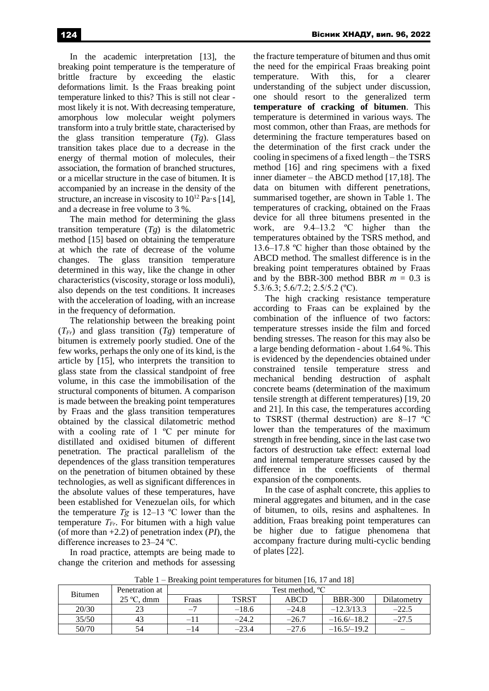In the academic interpretation [13], the breaking point temperature is the temperature of brittle fracture by exceeding the elastic deformations limit. Is the Fraas breaking point temperature linked to this? This is still not clear most likely it is not. With decreasing temperature, amorphous low molecular weight polymers transform into a truly brittle state, characterised by the glass transition temperature (*Tg*). Glass transition takes place due to a decrease in the energy of thermal motion of molecules, their association, the formation of branched structures, or a micellar structure in the case of bitumen. It is accompanied by an increase in the density of the structure, an increase in viscosity to  $10^{12}$  Pa·s [14], and a decrease in free volume to 3 %.

The main method for determining the glass transition temperature  $(Tg)$  is the dilatometric method [15] based on obtaining the temperature at which the rate of decrease of the volume changes. The glass transition temperature determined in this way, like the change in other characteristics (viscosity, storage or loss moduli), also depends on the test conditions. It increases with the acceleration of loading, with an increase in the frequency of deformation.

The relationship between the breaking point  $(T_F)$  and glass transition  $(Tg)$  temperature of bitumen is extremely poorly studied. One of the few works, perhaps the only one of its kind, is the article by [15], who interprets the transition to glass state from the classical standpoint of free volume, in this case the immobilisation of the structural components of bitumen. A comparison is made between the breaking point temperatures by Fraas and the glass transition temperatures obtained by the classical dilatometric method with a cooling rate of 1 °C per minute for distillated and oxidised bitumen of different penetration. The practical parallelism of the dependences of the glass transition temperatures on the penetration of bitumen obtained by these technologies, as well as significant differences in the absolute values of these temperatures, have been established for Venezuelan oils, for which the temperature  $Tg$  is 12–13 °C lower than the temperature *ТFr*. For bitumen with a high value (of more than +2.2) of penetration index (*PI*), the difference increases to 23‒24 ºС.

In road practice, attempts are being made to change the criterion and methods for assessing the fracture temperature of bitumen and thus omit the need for the empirical Fraas breaking point temperature. With this, for a clearer understanding of the subject under discussion, one should resort to the generalized term **temperature of cracking of bitumen**. This temperature is determined in various ways. The most common, other than Fraas, are methods for determining the fracture temperatures based on the determination of the first crack under the cooling in specimens of a fixed length – the TSRS method [16] and ring specimens with a fixed inner diameter – the ABCD method [17,18]. The data on bitumen with different penetrations, summarised together, are shown in Table 1. The temperatures of cracking, obtained on the Fraas device for all three bitumens presented in the work, are 9.4–13.2 °C higher than the temperatures obtained by the TSRS method, and 13.6–17.8 °C higher than those obtained by the ABCD method. The smallest difference is in the breaking point temperatures obtained by Fraas and by the BBR-300 method BBR  $m = 0.3$  is 5.3/6.3; 5.6/7.2; 2.5/5.2 (ºС).

The high cracking resistance temperature according to Fraas can be explained by the combination of the influence of two factors: temperature stresses inside the film and forced bending stresses. The reason for this may also be a large bending deformation - about 1.64 %. This is evidenced by the dependencies obtained under constrained tensile temperature stress and mechanical bending destruction of asphalt concrete beams (determination of the maximum tensile strength at different temperatures) [19, 20 and 21]. In this case, the temperatures according to TSRST (thermal destruction) are  $8-17$  °C lower than the temperatures of the maximum strength in free bending, since in the last case two factors of destruction take effect: external load and internal temperature stresses caused by the difference in the coefficients of thermal expansion of the components.

In the case of asphalt concrete, this applies to mineral aggregates and bitumen, and in the case of bitumen, to oils, resins and asphaltenes. In addition, Fraas breaking point temperatures can be higher due to fatigue phenomena that accompany fracture during multi-cyclic bending of plates [22].

| Table 1 – Breaking point temperatures for bitumen [16, 17 and 18] |  |  |
|-------------------------------------------------------------------|--|--|
|-------------------------------------------------------------------|--|--|

| Bitumen | Penetration at      | Test method, <sup>o</sup> C |              |         |                |             |  |
|---------|---------------------|-----------------------------|--------------|---------|----------------|-------------|--|
|         | $25^{\circ}$ C. dmm | Fraas                       | <b>TSRST</b> | ABCD    | <b>BBR-300</b> | Dilatometry |  |
| 20/30   | 23                  | $\mathbf{I}$                | $-18.6$      | $-24.8$ | $-12.3/13.3$   | $-22.5$     |  |
| 35/50   | 43                  | -11                         | $-24.2$      | $-26.7$ | $-16.6/-18.2$  | $-27.5$     |  |
| 50/70   | 54                  | -14                         | $-23.4$      | $-27.6$ | $-16.5/-19.2$  |             |  |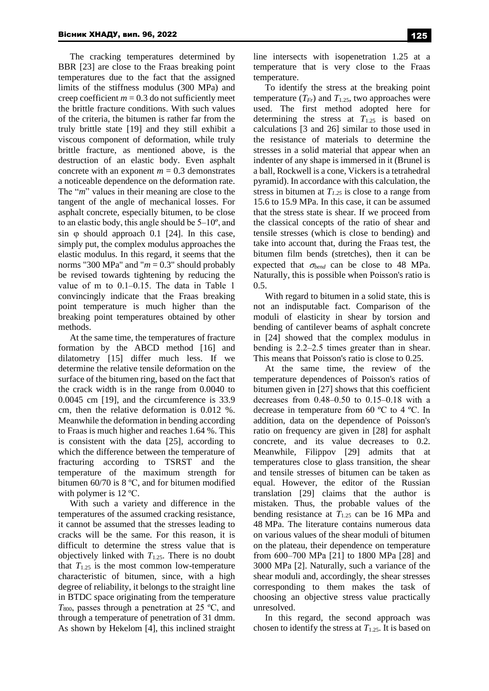The cracking temperatures determined by BBR [23] are close to the Fraas breaking point temperatures due to the fact that the assigned limits of the stiffness modulus (300 MPa) and creep coefficient  $m = 0.3$  do not sufficiently meet the brittle fracture conditions. With such values of the criteria, the bitumen is rather far from the truly brittle state [19] and they still exhibit a viscous component of deformation, while truly brittle fracture, as mentioned above, is the destruction of an elastic body. Even asphalt concrete with an exponent  $m = 0.3$  demonstrates a noticeable dependence on the deformation rate. The "*m*" values in their meaning are close to the tangent of the angle of mechanical losses. For asphalt concrete, especially bitumen, to be close to an elastic body, this angle should be  $5-10^{\circ}$ , and sin  $\varphi$  should approach 0.1 [24]. In this case, simply put, the complex modulus approaches the elastic modulus. In this regard, it seems that the norms "300 MPa" and " $m = 0.3$ " should probably be revised towards tightening by reducing the value of m to 0.1-0.15. The data in Table 1 convincingly indicate that the Fraas breaking point temperature is much higher than the breaking point temperatures obtained by other methods.

At the same time, the temperatures of fracture formation by the ABCD method [16] and dilatometry [15] differ much less. If we determine the relative tensile deformation on the surface of the bitumen ring, based on the fact that the crack width is in the range from 0.0040 to 0.0045 cm [19], and the circumference is 33.9 cm, then the relative deformation is 0.012 %. Meanwhile the deformation in bending according to Fraas is much higher and reaches 1.64 %. This is consistent with the data [25], according to which the difference between the temperature of fracturing according to TSRST and the temperature of the maximum strength for bitumen 60/70 is 8 ºС, and for bitumen modified with polymer is 12 ºС.

With such a variety and difference in the temperatures of the assumed cracking resistance, it cannot be assumed that the stresses leading to cracks will be the same. For this reason, it is difficult to determine the stress value that is objectively linked with  $T_{1.25}$ . There is no doubt that  $T_{1.25}$  is the most common low-temperature characteristic of bitumen, since, with a high degree of reliability, it belongs to the straight line in BTDC space originating from the temperature *T*800, passes through a penetration at 25 ºС, and through a temperature of penetration of 31 dmm. As shown by Hekelom [4], this inclined straight line intersects with isopenetration 1.25 at a temperature that is very close to the Fraas temperature.

To identify the stress at the breaking point temperature  $(T_F)$  and  $T_{1.25}$ , two approaches were used. The first method adopted here for determining the stress at  $T_{1.25}$  is based on calculations [3 and 26] similar to those used in the resistance of materials to determine the stresses in a solid material that appear when an indenter of any shape is immersed in it (Brunel is a ball, Rockwell is a cone, Vickers is a tetrahedral pyramid). In accordance with this calculation, the stress in bitumen at *T1.25* is close to a range from 15.6 to 15.9 MPa. In this case, it can be assumed that the stress state is shear. If we proceed from the classical concepts of the ratio of shear and tensile stresses (which is close to bending) and take into account that, during the Fraas test, the bitumen film bends (stretches), then it can be expected that  $\sigma_{bend}$  can be close to 48 MPa. Naturally, this is possible when Poisson's ratio is 0.5.

With regard to bitumen in a solid state, this is not an indisputable fact. Comparison of the moduli of elasticity in shear by torsion and bending of cantilever beams of asphalt concrete in [24] showed that the complex modulus in bending is 2.2–2.5 times greater than in shear. This means that Poisson's ratio is close to 0.25.

At the same time, the review of the temperature dependences of Poisson's ratios of bitumen given in [27] shows that this coefficient decreases from  $0.48 - 0.50$  to  $0.15 - 0.18$  with a decrease in temperature from 60 ºС to 4 ºС. In addition, data on the dependence of Poisson's ratio on frequency are given in [28] for asphalt concrete, and its value decreases to 0.2. Meanwhile, Filippov [29] admits that at temperatures close to glass transition, the shear and tensile stresses of bitumen can be taken as equal. However, the editor of the Russian translation [29] claims that the author is mistaken. Thus, the probable values of the bending resistance at *T*1.25 can be 16 MPa and 48 MPa. The literature contains numerous data on various values of the shear moduli of bitumen on the plateau, their dependence on temperature from 600‒700 MPa [21] to 1800 MPa [28] and 3000 MPa [2]. Naturally, such a variance of the shear moduli and, accordingly, the shear stresses corresponding to them makes the task of choosing an objective stress value practically unresolved.

In this regard, the second approach was chosen to identify the stress at *T*1.25. It is based on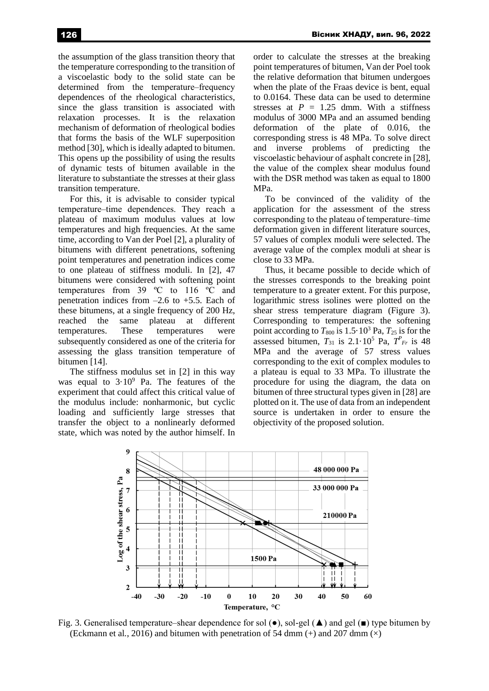the assumption of the glass transition theory that the temperature corresponding to the transition of a viscoelastic body to the solid state can be determined from the temperature–frequency dependences of the rheological characteristics, since the glass transition is associated with relaxation processes. It is the relaxation mechanism of deformation of rheological bodies that forms the basis of the WLF superposition method [30], which is ideally adapted to bitumen. This opens up the possibility of using the results of dynamic tests of bitumen available in the literature to substantiate the stresses at their glass transition temperature.

For this, it is advisable to consider typical temperature-time dependences. They reach a plateau of maximum modulus values at low temperatures and high frequencies. At the same time, according to Van der Poel [2], a plurality of bitumens with different penetrations, softening point temperatures and penetration indices come to one plateau of stiffness moduli. In [2], 47 bitumens were considered with softening point temperatures from 39 ºС to 116 ºС and penetration indices from  $-2.6$  to  $+5.5$ . Each of these bitumens, at a single frequency of 200 Hz, reached the same plateau at different temperatures. These temperatures were subsequently considered as one of the criteria for assessing the glass transition temperature of bitumen [14].

The stiffness modulus set in [2] in this way was equal to  $3.10^9$  Pa. The features of the experiment that could affect this critical value of the modulus include: nonharmonic, but cyclic loading and sufficiently large stresses that transfer the object to a nonlinearly deformed state, which was noted by the author himself. In order to calculate the stresses at the breaking point temperatures of bitumen, Van der Poel took the relative deformation that bitumen undergoes when the plate of the Fraas device is bent, equal to 0.0164. These data can be used to determine stresses at  $P = 1.25$  dmm. With a stiffness modulus of 3000 MPa and an assumed bending deformation of the plate of 0.016, the corresponding stress is 48 MPa. To solve direct and inverse problems of predicting the viscoelastic behaviour of asphalt concrete in [28], the value of the complex shear modulus found with the DSR method was taken as equal to 1800 MPa.

To be convinced of the validity of the application for the assessment of the stress corresponding to the plateau of temperature–time deformation given in different literature sources, 57 values of complex moduli were selected. The average value of the complex moduli at shear is close to 33 MPa.

Thus, it became possible to decide which of the stresses corresponds to the breaking point temperature to a greater extent. For this purpose, logarithmic stress isolines were plotted on the shear stress temperature diagram (Figure 3). Corresponding to temperatures: the softening point according to  $T_{800}$  is 1.5·10<sup>3</sup> Pa,  $T_{25}$  is for the assessed bitumen,  $T_{31}$  is  $2.1 \cdot 10^5$  Pa,  $T_{Fr}^P$  is 48 MPa and the average of 57 stress values corresponding to the exit of complex modules to a plateau is equal to 33 MPa. To illustrate the procedure for using the diagram, the data on bitumen of three structural types given in [28] are plotted on it. The use of data from an independent source is undertaken in order to ensure the objectivity of the proposed solution.



Fig. 3. Generalised temperature—shear dependence for sol ( $\bullet$ ), sol-gel ( $\blacktriangle$ ) and gel ( $\blacksquare$ ) type bitumen by (Eckmann et al., 2016) and bitumen with penetration of 54 dmm  $(+)$  and 207 dmm  $(\times)$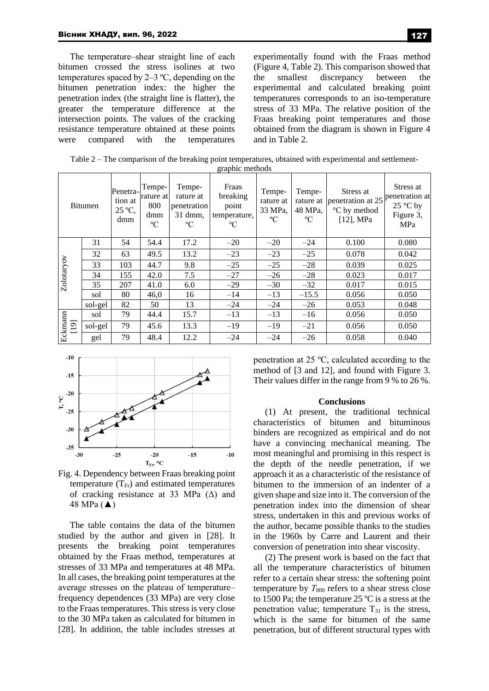The temperature–shear straight line of each bitumen crossed the stress isolines at two temperatures spaced by  $2-3$  °C, depending on the bitumen penetration index: the higher the penetration index (the straight line is flatter), the greater the temperature difference at the intersection points. The values of the cracking resistance temperature obtained at these points were compared with the temperatures

experimentally found with the Fraas method (Figure 4, Table 2). This comparison showed that the smallest discrepancy between the experimental and calculated breaking point temperatures corresponds to an iso-temperature stress of 33 MPa. The relative position of the Fraas breaking point temperatures and those obtained from the diagram is shown in Figure 4 and in Table 2.

| Table $2$ – The comparison of the breaking point temperatures, obtained with experimental and settlement- |
|-----------------------------------------------------------------------------------------------------------|
| graphic methods                                                                                           |

|                 | <b>Bitumen</b> | Penetra-<br>tion at<br>25 °C,<br>dmm | Tempe-<br>rature at<br>800<br>dmm<br>$\rm ^{o}C$ | Tempe-<br>rature at<br>penetration<br>31 dmm,<br>$\rm ^{o}C$ | Fraas<br>breaking<br>point<br>temperature,<br>$\rm ^{o}C$ | Tempe-<br>rature at<br>33 MPa,<br>$\rm ^{o}C$ | Tempe-<br>48 MPa,<br>$\rm ^{o}C$ | Stress at<br>rature at penetration at 25<br>°C by method<br>$[12]$ , MPa | Stress at<br>penetration at<br>$25^{\circ}$ C by<br>Figure 3,<br>MPa |
|-----------------|----------------|--------------------------------------|--------------------------------------------------|--------------------------------------------------------------|-----------------------------------------------------------|-----------------------------------------------|----------------------------------|--------------------------------------------------------------------------|----------------------------------------------------------------------|
|                 | 31             | 54                                   | 54.4                                             | 17.2                                                         | $-20$                                                     | $-20$                                         | $-24$                            | 0.100                                                                    | 0.080                                                                |
|                 | 32             | 63                                   | 49.5                                             | 13.2                                                         | $-23$                                                     | $-23$                                         | $-25$                            | 0.078                                                                    | 0.042                                                                |
| Zolotaryov      | 33             | 103                                  | 44.7                                             | 9.8                                                          | $-25$                                                     | $-25$                                         | $-28$                            | 0.039                                                                    | 0.025                                                                |
|                 | 34             | 155                                  | 42.0                                             | 7.5                                                          | $-27$                                                     | $-26$                                         | $-28$                            | 0.023                                                                    | 0.017                                                                |
|                 | 35             | 207                                  | 41.0                                             | 6.0                                                          | $-29$                                                     | $-30$                                         | $-32$                            | 0.017                                                                    | 0.015                                                                |
|                 | sol            | 80                                   | 46,0                                             | 16                                                           | $-14$                                                     | $-13$                                         | $-15.5$                          | 0.056                                                                    | 0.050                                                                |
|                 | sol-gel        | 82                                   | 50                                               | 13                                                           | $-24$                                                     | $-24$                                         | $-26$                            | 0.053                                                                    | 0.048                                                                |
| Eckmann<br>[19] | sol            | 79                                   | 44.4                                             | 15.7                                                         | $-13$                                                     | $-13$                                         | $-16$                            | 0.056                                                                    | 0.050                                                                |
|                 | sol-gel        | 79                                   | 45.6                                             | 13.3                                                         | $-19$                                                     | $-19$                                         | $-21$                            | 0.056                                                                    | 0.050                                                                |
|                 | gel            | 79                                   | 48.4                                             | 12.2                                                         | $-24$                                                     | $-24$                                         | $-26$                            | 0.058                                                                    | 0.040                                                                |



Fig. 4. Dependency between Fraas breaking point temperature  $(T_{Fr})$  and estimated temperatures of cracking resistance at 33 MPa (Δ) and 48 MPa (▲)

The table contains the data of the bitumen studied by the author and given in [28]. It presents the breaking point temperatures obtained by the Fraas method, temperatures at stresses of 33 MPa and temperatures at 48 MPa. In all cases, the breaking point temperatures at the average stresses on the plateau of temperaturefrequency dependences (33 MPa) are very close to the Fraas temperatures. This stress is very close to the 30 MPa taken as calculated for bitumen in [28]. In addition, the table includes stresses at penetration at 25 ºС, calculated according to the method of [3 and 12], and found with Figure 3. Their values differ in the range from 9 % to 26 %.

### **Conclusions**

(1) At present, the traditional technical characteristics of bitumen and bituminous binders are recognized as empirical and do not have a convincing mechanical meaning. The most meaningful and promising in this respect is the depth of the needle penetration, if we approach it as a characteristic of the resistance of bitumen to the immersion of an indenter of a given shape and size into it. The conversion of the penetration index into the dimension of shear stress, undertaken in this and previous works of the author, became possible thanks to the studies in the 1960s by Carre and Laurent and their conversion of penetration into shear viscosity.

(2) The present work is based on the fact that all the temperature characteristics of bitumen refer to a certain shear stress: the softening point temperature by  $T_{800}$  refers to a shear stress close to 1500 Pa; the temperature 25 ºC is a stress at the penetration value; temperature  $T_{31}$  is the stress, which is the same for bitumen of the same penetration, but of different structural types with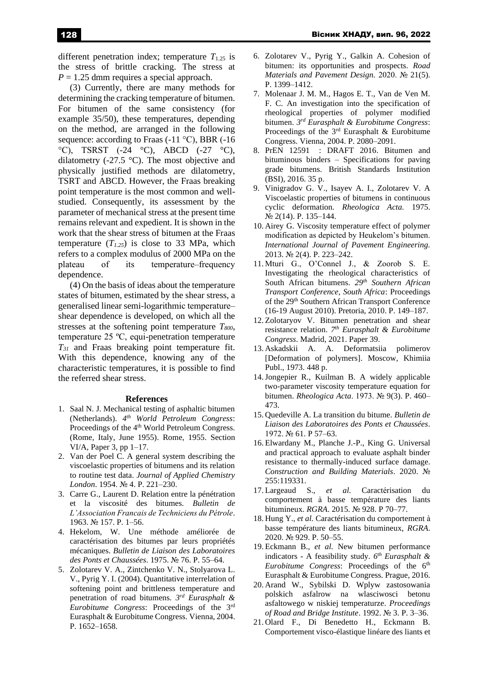different penetration index; temperature  $T_{1.25}$  is the stress of brittle cracking. The stress at  $P = 1.25$  dmm requires a special approach.

(3) Currently, there are many methods for determining the cracking temperature of bitumen. For bitumen of the same consistency (for example 35/50), these temperatures, depending on the method, are arranged in the following sequence: according to Fraas (-11 °С), BBR (-16 °C), TSRST  $(-24 \text{ °C})$ , ABCD  $(-27 \text{ °C})$ , dilatometry (-27.5 °C). The most objective and physically justified methods are dilatometry, TSRT and ABCD. However, the Fraas breaking point temperature is the most common and wellstudied. Consequently, its assessment by the parameter of mechanical stress at the present time remains relevant and expedient. It is shown in the work that the shear stress of bitumen at the Fraas temperature  $(T_{1,25})$  is close to 33 MPa, which refers to a complex modulus of 2000 MPa on the plateau of its temperature–frequency dependence.

(4) On the basis of ideas about the temperature states of bitumen, estimated by the shear stress, a generalised linear semi-logarithmic temperature shear dependence is developed, on which all the stresses at the softening point temperature *T800*, temperature 25 ºС, equi-penetration temperature *T<sup>31</sup>* and Fraas breaking point temperature fit. With this dependence, knowing any of the characteristic temperatures, it is possible to find the referred shear stress.

#### **References**

- 1. Saal N. J. Mechanical testing of asphaltic bitumen (Netherlands). *4 th World Petroleum Congress*: Proceedings of the 4<sup>th</sup> World Petroleum Congress. (Rome, Italy, June 1955). Rome, 1955. Section VI/A, Paper 3, pp 1–17.
- 2. Van der Poel C. A general system describing the viscoelastic properties of bitumens and its relation to routine test data. *Journal of Applied Chemistry London*. 1954. № 4. P. 221–230.
- 3. Carre G., Laurent D. Relation entre la pénétration et la viscosité des bitumes. *Bulletin de L'Association Francais de Techniciens du Pétrole*. 1963. № 157. P. 1–56.
- 4. Hekelom, W. Une méthode améliorée de caractérisation des bitumes par leurs propriétés mécaniques. *Bulletin de Liaison des Laboratoires des Ponts et Chaussées*. 1975. № 76. P. 55–64.
- 5. Zolotarev V. A., Zintchenko V. N., Stolyarova L. V., Pyrig Y. I. (2004). Quantitative interrelation of softening point and brittleness temperature and penetration of road bitumens. *3 rd Eurasphalt & Eurobitume Congress*: Proceedings of the 3rd Eurasphalt & Eurobitume Congress. Vienna, 2004. P. 1652–1658.
- 6. Zolotarev V., Pyrig Y., Galkin A. Cohesion of bitumen: its opportunities and prospects. *Road Materials and Pavement Design.* 2020. № 21(5). P. 1399–1412.
- 7. Molenaar J. M. M., Hagos E. T., Van de Ven M. F. C. An investigation into the specification of rheological properties of polymer modified bitumen. *3 rd Eurasphalt & Eurobitume Congress*: Proceedings of the  $3<sup>rd</sup>$  Eurasphalt & Eurobitume Congress. Vienna, 2004. P. 2080–2091.
- 8. PrEN 12591 : DRAFT 2016. Bitumen and bituminous binders – Specifications for paving grade bitumens. British Standards Institution (BSI), 2016. 35 p.
- 9. Vinigradov G. V., Isayev A. I., Zolotarev V. A Viscoelastic properties of bitumens in continuous cyclic deformation. *Rheologica Acta.* 1975. № 2(14). P. 135–144.
- 10. Airey G. Viscosity temperature effect of polymer modification as depicted by Heukelom's bitumen. *International Journal of Pavement Engineering.*  2013. № 2(4). P. 223–242.
- 11. Mturi G., O'Connel J., & Zoorob S. E. Investigating the rheological characteristics of South African bitumens. *29th Southern African Transport Conference, South Africa*: Proceedings of the 29th Southern African Transport Conference (16-19 August 2010). Pretoria, 2010. P. 149–187.
- 12. Zolotaryov V. Bitumen penetration and shear resistance relation. *7 th Eurasphalt & Eurobitume Congress*. Madrid, 2021. Paper 39.
- 13. Askadskii A. A. Deformatsiia polimerov [Deformation of polymers]. Moscow, Khimiia Publ., 1973. 448 p.
- 14.Jongepier R., Kuilman B. A widely applicable two-parameter viscosity temperature equation for bitumen. *Rheologica Acta*. 1973. № 9(3). P. 460– 473.
- 15. Quedeville A. La transition du bitume. *Bulletin de Liaison des Laboratoires des Ponts et Chaussées*. 1972. № 61. P 57–63.
- 16. Elwardany M., Planche J.-P., King G. Universal and practical approach to evaluate asphalt binder resistance to thermally-induced surface damage. *Construction and Building Materials*. 2020. № 255:119331.
- 17. Largeaud S., *et al.* Caractérisation du comportement à basse température des liants bitumineux. *RGRA*. 2015. № 928. P 70–77.
- 18. Hung Y., *et al.* Caractérisation du comportement à basse température des liants bitumineux, *RGRA*. 2020. № 929. P. 50–55.
- 19. Eckmann B., *et al.* New bitumen performance indicators - A feasibility study. *6 th Eurasphalt &*  Eurobitume Congress: Proceedings of the 6<sup>th</sup> Eurasphalt & Eurobitume Congress. Prague, 2016.
- 20. Arand W., Sybilski D. Wplyw zastosowania polskich asfalrow na wlasciwosci betonu asfaltowego w niskiej temperaturze. *Proceedings of Road and Bridge Institute*. 1992. № 3. P. 3–36.
- 21. Olard F., Di Benedetto H., Eckmann B. Comportement visco-élastique linéare des liants et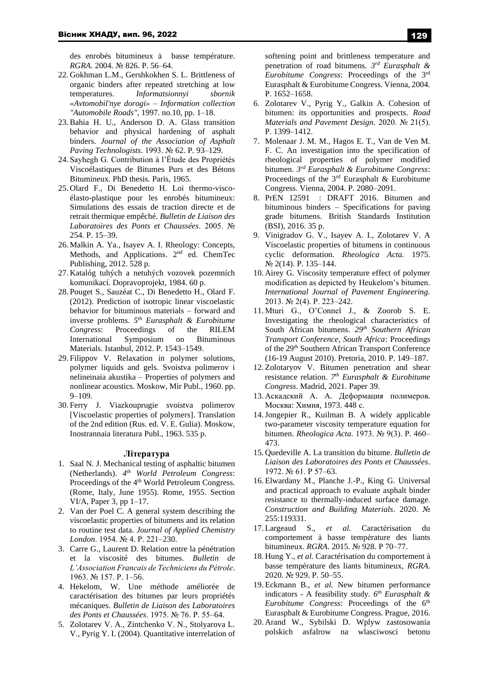des enrobés bitumineux à basse température. *RGRA*. 2004. № 826. P. 56–64.

- 22. Gokhman L.M., Gershkokhen S. L. Brittleness of organic binders after repeated stretching at low temperatures. *Informatsionnyi sbornik «Avtomobil'nye dorogi» – Information collection "Automobile Roads"*, 1997. no.10, pp. 1–18.
- 23.Bahia H. U., Anderson D. A. Glass transition behavior and physical hardening of asphalt binders. *Journal of the Association of Asphalt Paving Technologists*. 1993. № 62. P. 93–129.
- 24. Sayhegh G. Contribution à l'Étude des Propriétés Viscoélastiques de Bitumes Purs et des Bétons Bitumineux. PhD thesis. Paris, 1965.
- 25. Olard F., Di Benedetto H. Loi thermo-viscoélasto-plastique pour les enrobés bitumineux: Simulations des essais de traction directe et de retrait thermique empêché. *Bulletin de Liaison des Laboratoires des Ponts et Chaussées*. 2005. № 254. P. 15–39.
- 26. Malkin A. Ya., Isayev A. I. Rheology: Concepts, Methods, and Applications.  $2<sup>nd</sup>$  ed. ChemTec Publishing, 2012. 528 p.
- 27. Katalóg tuhých a netuhých vozovek pozemních komunikací. Dopravoprojekt, 1984. 60 p.
- 28. Pouget S., Sauzéat C., Di Benedetto H., Olard F. (2012). Prediction of isotropic linear viscoelastic behavior for bituminous materials – forward and inverse problems. *5 th Eurasphalt & Eurobitume Congress*: Proceedings of the RILEM International Symposium on Bituminous Materials. Istanbul, 2012. P. 1543–1549.
- 29. Filippov V. Relaxation in polymer solutions, polymer liquids and gels. Svoistva polimerov i nelineinaia akustika – Properties of polymers and nonlinear acoustics. Мoskow, Mir Publ., 1960. pp. 9–109.
- 30. Ferry J. Viazkouprugie svoistva polimerov [Viscoelastic properties of polymers]. Translation of the 2nd edition (Rus. ed. V. E. Gulia). Moskow, Inostrannaia literatura Publ., 1963. 535 p.

#### **Література**

- 1. Saal N. J. Mechanical testing of asphaltic bitumen (Netherlands). *4 th World Petroleum Congress*: Proceedings of the 4<sup>th</sup> World Petroleum Congress. (Rome, Italy, June 1955). Rome, 1955. Section VI/A, Paper 3, pp 1–17.
- 2. Van der Poel C. A general system describing the viscoelastic properties of bitumens and its relation to routine test data. *Journal of Applied Chemistry London*. 1954. № 4. P. 221–230.
- 3. Carre G., Laurent D. Relation entre la pénétration et la viscosité des bitumes. *Bulletin de L'Association Francais de Techniciens du Pétrole*. 1963. № 157. P. 1–56.
- 4. Hekelom, W. Une méthode améliorée de caractérisation des bitumes par leurs propriétés mécaniques. *Bulletin de Liaison des Laboratoires des Ponts et Chaussées*. 1975. № 76. P. 55–64.
- 5. Zolotarev V. A., Zintchenko V. N., Stolyarova L. V., Pyrig Y. I. (2004). Quantitative interrelation of

softening point and brittleness temperature and penetration of road bitumens. *3 rd Eurasphalt & Eurobitume Congress*: Proceedings of the 3rd Eurasphalt & Eurobitume Congress. Vienna, 2004. P. 1652–1658.

- 6. Zolotarev V., Pyrig Y., Galkin A. Cohesion of bitumen: its opportunities and prospects. *Road Materials and Pavement Design.* 2020. № 21(5). P. 1399–1412.
- 7. Molenaar J. M. M., Hagos E. T., Van de Ven M. F. C. An investigation into the specification of rheological properties of polymer modified bitumen. *3 rd Eurasphalt & Eurobitume Congress*: Proceedings of the 3<sup>rd</sup> Eurasphalt & Eurobitume Congress. Vienna, 2004. P. 2080–2091.
- 8. PrEN 12591 : DRAFT 2016. Bitumen and bituminous binders – Specifications for paving grade bitumens. British Standards Institution (BSI), 2016. 35 p.
- 9. Vinigradov G. V., Isayev A. I., Zolotarev V. A Viscoelastic properties of bitumens in continuous cyclic deformation. *Rheologica Acta.* 1975. № 2(14). P. 135–144.
- 10. Airey G. Viscosity temperature effect of polymer modification as depicted by Heukelom's bitumen. *International Journal of Pavement Engineering.*  2013. № 2(4). P. 223–242.
- 11. Mturi G., O'Connel J., & Zoorob S. E. Investigating the rheological characteristics of South African bitumens. *29th Southern African Transport Conference, South Africa*: Proceedings of the 29<sup>th</sup> Southern African Transport Conference (16-19 August 2010). Pretoria, 2010. P. 149–187.
- 12. Zolotaryov V. Bitumen penetration and shear resistance relation. *7 th Eurasphalt & Eurobitume Congress*. Madrid, 2021. Paper 39.
- 13. Аскадский А. А. Деформация полимеров*.* Москва: Химия, 1973. 448 с.
- 14.Jongepier R., Kuilman B. A widely applicable two-parameter viscosity temperature equation for bitumen. *Rheologica Acta*. 1973. № 9(3). P. 460– 473.
- 15. Quedeville A. La transition du bitume. *Bulletin de Liaison des Laboratoires des Ponts et Chaussées*. 1972. № 61. P 57–63.
- 16. Elwardany M., Planche J.-P., King G. Universal and practical approach to evaluate asphalt binder resistance to thermally-induced surface damage. *Construction and Building Materials*. 2020. № 255:119331.
- 17. Largeaud S., *et al.* Caractérisation du comportement à basse température des liants bitumineux. *RGRA*. 2015. № 928. P 70–77.
- 18. Hung Y., *et al.* Caractérisation du comportement à basse température des liants bitumineux, *RGRA*. 2020. № 929. P. 50–55.
- 19. Eckmann B., *et al.* New bitumen performance indicators - A feasibility study. *6 th Eurasphalt & Eurobitume Congress*: Proceedings of the 6<sup>th</sup> Eurasphalt & Eurobitume Congress. Prague, 2016.
- 20. Arand W., Sybilski D. Wplyw zastosowania polskich asfalrow na wlasciwosci betonu